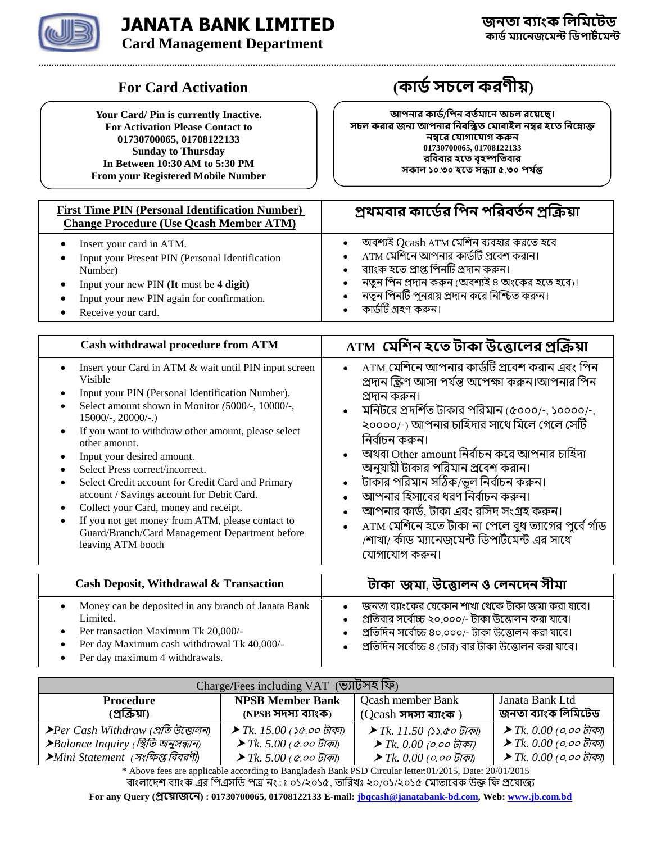

## **JANATA BANK LIMITED Card Management Department**

**Your Card/ Pin is currently Inactive. For Activation Please Contact to 01730700065, 01708122133 Sunday to Thursday In Between 10:30 AM to 5:30 PM From your Registered Mobile Number**

## **For Card Activation (কার্ডসচলে করণীয়)**

আপনার কার্ড/পিন বর্তমানে অচল রয়েছে। সচল করার জন্য আপনার নিবন্ধিত মোবাইল নম্বর হতে নিম্নোক্ত **নম্বরে যোগাযোগ করুন 01730700065, 01708122133 র র হ ৃহষ্প র ১০***.***৩০ হ ি ৫***.***৩০ ন্ত**

| <b>First Time PIN (Personal Identification Number)</b><br><b>Change Procedure (Use Qcash Member ATM)</b> | প্রথমবার কার্ডের পিন পরিবর্তন প্রক্রিয়া       |
|----------------------------------------------------------------------------------------------------------|------------------------------------------------|
| Insert your card in ATM.                                                                                 | অবশ্যই Qcash ATM মেশিন ব্যবহার করতে হবে        |
| Input your Present PIN (Personal Identification                                                          | $ATM$ মেশিনে আপনার কার্ডটি প্রবেশ করান।        |
| Number)                                                                                                  | ব্যাংক হতে প্রাপ্ত পিনটি প্রদান করুন।          |
| Input your new PIN (It must be 4 digit)                                                                  | নতুন পিন প্রদান করুন (অবশ্যই ৪ অংকের হতে হবে)। |
| Input your new PIN again for confirmation.                                                               | নতুন পিনটি পুনরায় প্রদান করে নিশ্চিত করুন।    |
| Receive your card.                                                                                       | কার্ডটি গ্রহণ করুন।                            |

| Cash withdrawal procedure from ATM                                                                                                                                                                                                                                                                                                                                                                                                                                                                                                                                                                                  | $\bm{\Lambda}$ TM $\bm{\Lambda}$ মেশিন হতে টাকা উত্তোলের প্রক্রিয়া                                                                                                                                                                                                                                                                                                                                                                                                                                                                                                                                                                          |
|---------------------------------------------------------------------------------------------------------------------------------------------------------------------------------------------------------------------------------------------------------------------------------------------------------------------------------------------------------------------------------------------------------------------------------------------------------------------------------------------------------------------------------------------------------------------------------------------------------------------|----------------------------------------------------------------------------------------------------------------------------------------------------------------------------------------------------------------------------------------------------------------------------------------------------------------------------------------------------------------------------------------------------------------------------------------------------------------------------------------------------------------------------------------------------------------------------------------------------------------------------------------------|
| Insert your Card in ATM & wait until PIN input screen<br>Visible<br>Input your PIN (Personal Identification Number).<br>Select amount shown in Monitor (5000/-, 10000/-,<br>$15000/-$ , $20000/-$ .)<br>If you want to withdraw other amount, please select<br>other amount.<br>Input your desired amount.<br>Select Press correct/incorrect.<br>Select Credit account for Credit Card and Primary<br>account / Savings account for Debit Card.<br>Collect your Card, money and receipt.<br>If you not get money from ATM, please contact to<br>Guard/Branch/Card Management Department before<br>leaving ATM booth | ATM মেশিনে আপনার কার্ডটি প্রবেশ করান এবং পিন<br>$\bullet$<br>প্রদান স্ক্রিণ আসা পর্যন্ত অপেক্ষা করুন।আপনার পিন<br>প্ৰদান কৰুন।<br>মনিটরে প্রদর্শিত টাকার পরিমান (৫০০০/-, ১০০০০/-,<br>$\bullet$<br>২০০০০/-) আপনার চাহিদার সাথে মিলে গেলে সেটি<br>নিৰ্বাচন কৰুন।<br>অথবা Other amount নির্বাচন করে আপনার চাহিদা<br>$\bullet$<br>অনুযায়ী টাকার পরিমান প্রবেশ করান।<br>টাকার পরিমান সঠিক/ভুল নির্বাচন করুন।<br>$\bullet$<br>আপনার হিসাবের ধরণ নির্বাচন করুন।<br>আপনার কার্ড, টাকা এবং রসিদ সংগ্রহ করুন।<br>ATM মেশিনে হতে টাকা না পেলে বুথ ত্যাগের পূর্বে র্গাড<br>$\bullet$<br>/শাখা/ র্কাড ম্যানেজমেন্ট ডিপার্টমেন্ট এর সাথে<br>যোগাযোগ করুন। |
| <b>Cash Deposit, Withdrawal &amp; Transaction</b>                                                                                                                                                                                                                                                                                                                                                                                                                                                                                                                                                                   | টাকা জমা, উত্তোলন ও লেনদেন সীমা                                                                                                                                                                                                                                                                                                                                                                                                                                                                                                                                                                                                              |

| Money can be deposited in any branch of Janata Bank<br>Limited.               | জনতা ব্যাংকের যেকোন শাখা থেকে টাকা জমা করা যাবে।<br>প্রতিবার সর্বোচ্চ ২০.০০০/- টাকা উত্তোলন করা যাবে। |
|-------------------------------------------------------------------------------|-------------------------------------------------------------------------------------------------------|
| Per transaction Maximum Tk 20,000/-                                           | প্রতিদিন সর্বোচ্চ ৪০,০০০/- টাকা উত্তোলন করা যাবে।                                                     |
| Per day Maximum cash withdrawal Tk 40,000/-<br>Per day maximum 4 withdrawals. | প্রতিদিন সর্বোচ্চ ৪ (চার) বার টাকা উত্তোলন করা যাবে।                                                  |

| Charge/Fees including VAT (ভ্যাটসহ ফি)                   |                                              |                                            |                                            |  |  |
|----------------------------------------------------------|----------------------------------------------|--------------------------------------------|--------------------------------------------|--|--|
| <b>Procedure</b>                                         | <b>NPSB Member Bank</b>                      | <b>Qcash member Bank</b>                   | Janata Bank Ltd                            |  |  |
| (প্রক্রিয়া)                                             | (NPSB সদস্য ব্যাংক)                          | $(Ocash \pi\pi\pi\pi\pi)$                  | জনতা ব্যাংক লিমিটেড                        |  |  |
| ▶ Per Cash Withdraw (প্রতি উত্তোলন)                      | $\blacktriangleright$ Tk. 15.00 (১৫.০০ টাকা) | <i>► Tk. 11.50 (১১.৫০ টাকা)</i>            | $\blacktriangleright$ Tk. 0.00 (০.০০ টাকা) |  |  |
| $\blacktriangleright$ Balance Inquiry (স্থিতি অনুসন্ধান) | $\blacktriangleright$ Tk. 5.00 (৫.০০ টাকা)   | $\blacktriangleright$ Tk. 0.00 (০.০০ টাকা) | $\blacktriangleright$ Tk. 0.00 (০.০০ টাকা) |  |  |
| ▶Mini Statement  (সংক্ষিপ্ত বিবরণী)                      | $▶$ Tk, 5.00 ( $\alpha$ ,00 টাকা)            | $\blacktriangleright$ Tk. 0.00 (০.০০ টাকা) | $\blacktriangleright$ Tk. 0.00 (০.০০ টাকা) |  |  |

\* Above fees are applicable according to Bangladesh Bank PSD Circular letter:01/2015, Date: 20/01/2015 বাংলাদেশ ব্যাংক এর পিএসডি পত্র নংঃ ০১/২০১৫, তারিখঃ ২০/০১/২০১৫ মোতাবেক উক্ত ফি প্রযোজ্য **For any Query ( ) : 01730700065, 01708122133 E-mail[: jbqcash@janatabank-bd.com,](mailto:jbqcash@janatabank-bd.com) Web: [www.jb.com.bd](http://www.jb.com.bd/)**